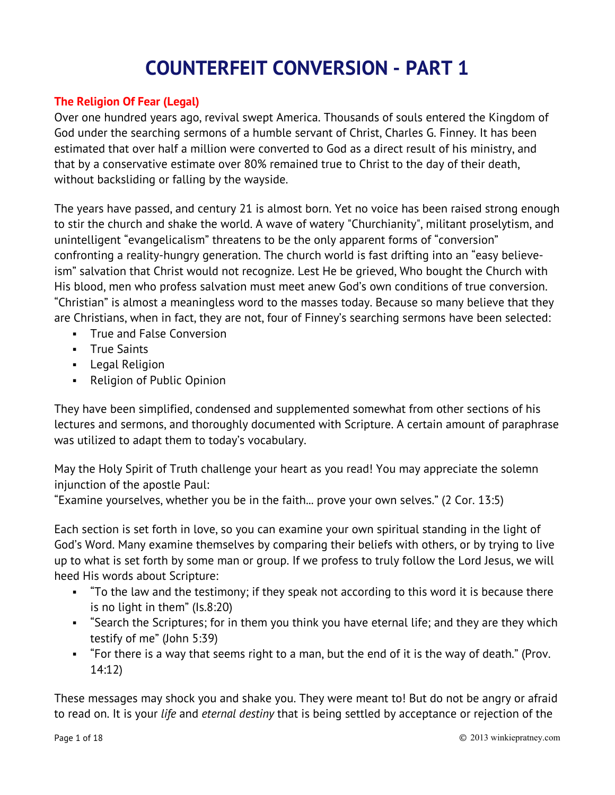# **COUNTERFEIT CONVERSION - PART 1**

#### **The Religion Of Fear (Legal)**

Over one hundred years ago, revival swept America. Thousands of souls entered the Kingdom of God under the searching sermons of a humble servant of Christ, Charles G. Finney. It has been estimated that over half a million were converted to God as a direct result of his ministry, and that by a conservative estimate over 80% remained true to Christ to the day of their death, without backsliding or falling by the wayside.

The years have passed, and century 21 is almost born. Yet no voice has been raised strong enough to stir the church and shake the world. A wave of watery "Churchianity", militant proselytism, and unintelligent "evangelicalism" threatens to be the only apparent forms of "conversion" confronting a reality-hungry generation. The church world is fast drifting into an "easy believeism" salvation that Christ would not recognize. Lest He be grieved, Who bought the Church with His blood, men who profess salvation must meet anew God's own conditions of true conversion. "Christian" is almost a meaningless word to the masses today. Because so many believe that they are Christians, when in fact, they are not, four of Finney's searching sermons have been selected:

- True and False Conversion
- **True Saints**
- **-** Legal Religion
- Religion of Public Opinion

They have been simplified, condensed and supplemented somewhat from other sections of his lectures and sermons, and thoroughly documented with Scripture. A certain amount of paraphrase was utilized to adapt them to today's vocabulary.

May the Holy Spirit of Truth challenge your heart as you read! You may appreciate the solemn injunction of the apostle Paul:

"Examine yourselves, whether you be in the faith... prove your own selves." (2 Cor. 13:5)

Each section is set forth in love, so you can examine your own spiritual standing in the light of God's Word. Many examine themselves by comparing their beliefs with others, or by trying to live up to what is set forth by some man or group. If we profess to truly follow the Lord Jesus, we will heed His words about Scripture:

- "To the law and the testimony; if they speak not according to this word it is because there is no light in them" (Is.8:20)
- "Search the Scriptures; for in them you think you have eternal life; and they are they which testify of me" (John 5:39)
- "For there is a way that seems right to a man, but the end of it is the way of death." (Prov. 14:12)

These messages may shock you and shake you. They were meant to! But do not be angry or afraid to read on. It is your *life* and *eternal destiny* that is being settled by acceptance or rejection of the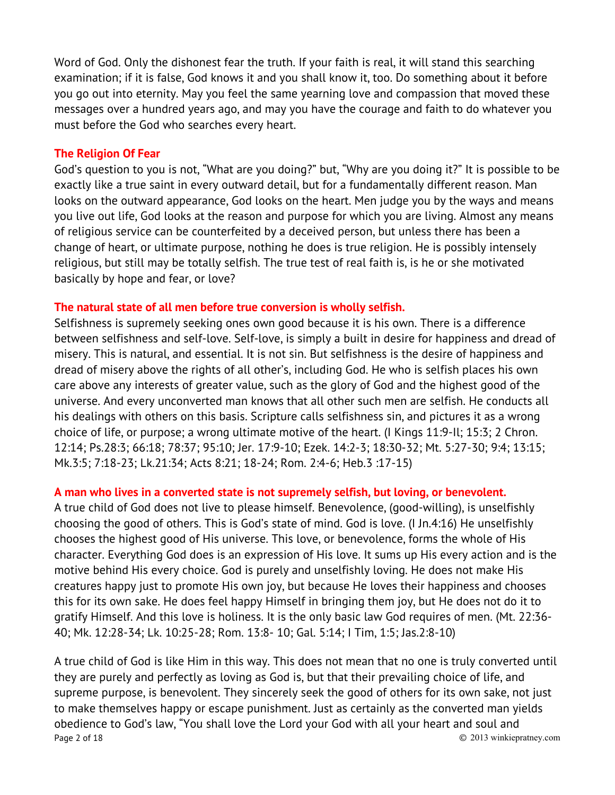Word of God. Only the dishonest fear the truth. If your faith is real, it will stand this searching examination; if it is false, God knows it and you shall know it, too. Do something about it before you go out into eternity. May you feel the same yearning love and compassion that moved these messages over a hundred years ago, and may you have the courage and faith to do whatever you must before the God who searches every heart.

#### **The Religion Of Fear**

God's question to you is not, "What are you doing?" but, "Why are you doing it?" It is possible to be exactly like a true saint in every outward detail, but for a fundamentally different reason. Man looks on the outward appearance, God looks on the heart. Men judge you by the ways and means you live out life, God looks at the reason and purpose for which you are living. Almost any means of religious service can be counterfeited by a deceived person, but unless there has been a change of heart, or ultimate purpose, nothing he does is true religion. He is possibly intensely religious, but still may be totally selfish. The true test of real faith is, is he or she motivated basically by hope and fear, or love?

#### **The natural state of all men before true conversion is wholly selfish.**

Selfishness is supremely seeking ones own good because it is his own. There is a difference between selfishness and self-love. Self-love, is simply a built in desire for happiness and dread of misery. This is natural, and essential. It is not sin. But selfishness is the desire of happiness and dread of misery above the rights of all other's, including God. He who is selfish places his own care above any interests of greater value, such as the glory of God and the highest good of the universe. And every unconverted man knows that all other such men are selfish. He conducts all his dealings with others on this basis. Scripture calls selfishness sin, and pictures it as a wrong choice of life, or purpose; a wrong ultimate motive of the heart. (I Kings 11:9-Il; 15:3; 2 Chron. 12:14; Ps.28:3; 66:18; 78:37; 95:10; Jer. 17:9-10; Ezek. 14:2-3; 18:30-32; Mt. 5:27-30; 9:4; 13:15; Mk.3:5; 7:18-23; Lk.21:34; Acts 8:21; 18-24; Rom. 2:4-6; Heb.3 :17-15)

#### **A man who lives in a converted state is not supremely selfish, but loving, or benevolent.**

A true child of God does not live to please himself. Benevolence, (good-willing), is unselfishly choosing the good of others. This is God's state of mind. God is love. (I Jn.4:16) He unselfishly chooses the highest good of His universe. This love, or benevolence, forms the whole of His character. Everything God does is an expression of His love. It sums up His every action and is the motive behind His every choice. God is purely and unselfishly loving. He does not make His creatures happy just to promote His own joy, but because He loves their happiness and chooses this for its own sake. He does feel happy Himself in bringing them joy, but He does not do it to gratify Himself. And this love is holiness. It is the only basic law God requires of men. (Mt. 22:36- 40; Mk. 12:28-34; Lk. 10:25-28; Rom. 13:8- 10; Gal. 5:14; I Tim, 1:5; Jas.2:8-10)

Page 2 of 18 **Contract 2 of 18** Contract 2 of 18 Contract 2 of 18 Contract 2 of 18 Contract 2 of 18 Contract 2 of 18 Contract 2 of 18 Contract 2 of 18 Contract 2 of 18 Contract 2 of 18 Contract 2 of 18 Contract 2 of 18 Con A true child of God is like Him in this way. This does not mean that no one is truly converted until they are purely and perfectly as loving as God is, but that their prevailing choice of life, and supreme purpose, is benevolent. They sincerely seek the good of others for its own sake, not just to make themselves happy or escape punishment. Just as certainly as the converted man yields obedience to God's law, "You shall love the Lord your God with all your heart and soul and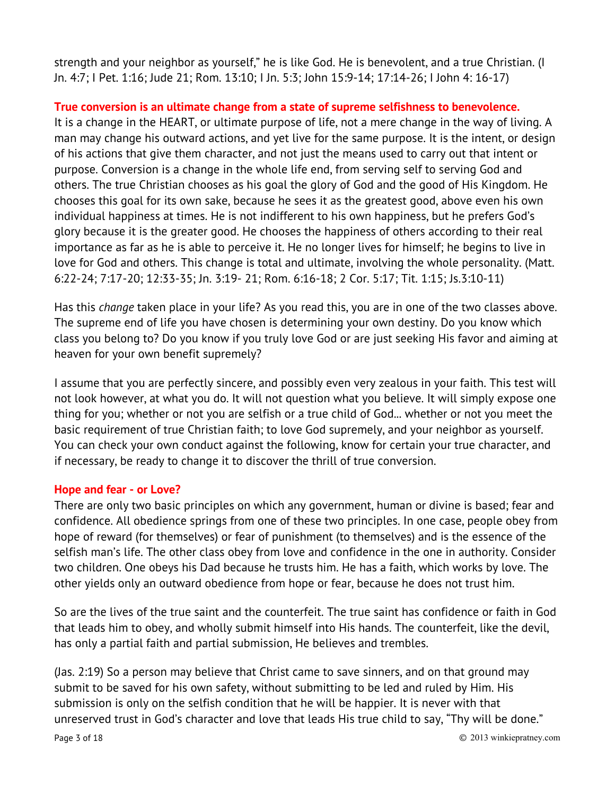strength and your neighbor as yourself," he is like God. He is benevolent, and a true Christian. (I Jn. 4:7; I Pet. 1:16; Jude 21; Rom. 13:10; I Jn. 5:3; John 15:9-14; 17:14-26; I John 4: 16-17)

# **True conversion is an ultimate change from a state of supreme selfishness to benevolence.**

It is a change in the HEART, or ultimate purpose of life, not a mere change in the way of living. A man may change his outward actions, and yet live for the same purpose. It is the intent, or design of his actions that give them character, and not just the means used to carry out that intent or purpose. Conversion is a change in the whole life end, from serving self to serving God and others. The true Christian chooses as his goal the glory of God and the good of His Kingdom. He chooses this goal for its own sake, because he sees it as the greatest good, above even his own individual happiness at times. He is not indifferent to his own happiness, but he prefers God's glory because it is the greater good. He chooses the happiness of others according to their real importance as far as he is able to perceive it. He no longer lives for himself; he begins to live in love for God and others. This change is total and ultimate, involving the whole personality. (Matt. 6:22-24; 7:17-20; 12:33-35; Jn. 3:19- 21; Rom. 6:16-18; 2 Cor. 5:17; Tit. 1:15; Js.3:10-11)

Has this *change* taken place in your life? As you read this, you are in one of the two classes above. The supreme end of life you have chosen is determining your own destiny. Do you know which class you belong to? Do you know if you truly love God or are just seeking His favor and aiming at heaven for your own benefit supremely?

I assume that you are perfectly sincere, and possibly even very zealous in your faith. This test will not look however, at what you do. It will not question what you believe. It will simply expose one thing for you; whether or not you are selfish or a true child of God... whether or not you meet the basic requirement of true Christian faith; to love God supremely, and your neighbor as yourself. You can check your own conduct against the following, know for certain your true character, and if necessary, be ready to change it to discover the thrill of true conversion.

#### **Hope and fear - or Love?**

There are only two basic principles on which any government, human or divine is based; fear and confidence. All obedience springs from one of these two principles. In one case, people obey from hope of reward (for themselves) or fear of punishment (to themselves) and is the essence of the selfish man's life. The other class obey from love and confidence in the one in authority. Consider two children. One obeys his Dad because he trusts him. He has a faith, which works by love. The other yields only an outward obedience from hope or fear, because he does not trust him.

So are the lives of the true saint and the counterfeit. The true saint has confidence or faith in God that leads him to obey, and wholly submit himself into His hands. The counterfeit, like the devil, has only a partial faith and partial submission, He believes and trembles.

(Jas. 2:19) So a person may believe that Christ came to save sinners, and on that ground may submit to be saved for his own safety, without submitting to be led and ruled by Him. His submission is only on the selfish condition that he will be happier. It is never with that unreserved trust in God's character and love that leads His true child to say, "Thy will be done."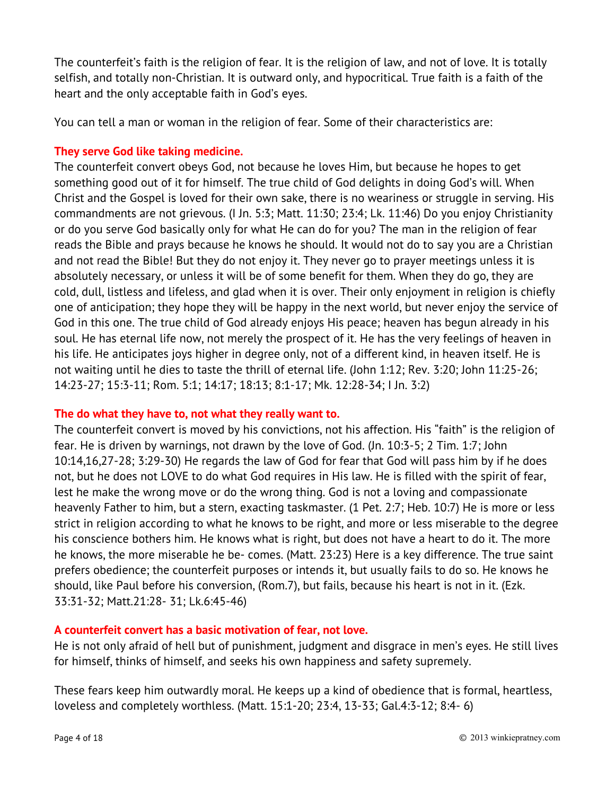The counterfeit's faith is the religion of fear. It is the religion of law, and not of love. It is totally selfish, and totally non-Christian. It is outward only, and hypocritical. True faith is a faith of the heart and the only acceptable faith in God's eyes.

You can tell a man or woman in the religion of fear. Some of their characteristics are:

### **They serve God like taking medicine.**

The counterfeit convert obeys God, not because he loves Him, but because he hopes to get something good out of it for himself. The true child of God delights in doing God's will. When Christ and the Gospel is loved for their own sake, there is no weariness or struggle in serving. His commandments are not grievous. (I Jn. 5:3; Matt. 11:30; 23:4; Lk. 11:46) Do you enjoy Christianity or do you serve God basically only for what He can do for you? The man in the religion of fear reads the Bible and prays because he knows he should. It would not do to say you are a Christian and not read the Bible! But they do not enjoy it. They never go to prayer meetings unless it is absolutely necessary, or unless it will be of some benefit for them. When they do go, they are cold, dull, listless and lifeless, and glad when it is over. Their only enjoyment in religion is chiefly one of anticipation; they hope they will be happy in the next world, but never enjoy the service of God in this one. The true child of God already enjoys His peace; heaven has begun already in his soul. He has eternal life now, not merely the prospect of it. He has the very feelings of heaven in his life. He anticipates joys higher in degree only, not of a different kind, in heaven itself. He is not waiting until he dies to taste the thrill of eternal life. (John 1:12; Rev. 3:20; John 11:25-26; 14:23-27; 15:3-11; Rom. 5:1; 14:17; 18:13; 8:1-17; Mk. 12:28-34; I Jn. 3:2)

#### **The do what they have to, not what they really want to.**

The counterfeit convert is moved by his convictions, not his affection. His "faith" is the religion of fear. He is driven by warnings, not drawn by the love of God. (Jn. 10:3-5; 2 Tim. 1:7; John 10:14,16,27-28; 3:29-30) He regards the law of God for fear that God will pass him by if he does not, but he does not LOVE to do what God requires in His law. He is filled with the spirit of fear, lest he make the wrong move or do the wrong thing. God is not a loving and compassionate heavenly Father to him, but a stern, exacting taskmaster. (1 Pet. 2:7; Heb. 10:7) He is more or less strict in religion according to what he knows to be right, and more or less miserable to the degree his conscience bothers him. He knows what is right, but does not have a heart to do it. The more he knows, the more miserable he be- comes. (Matt. 23:23) Here is a key difference. The true saint prefers obedience; the counterfeit purposes or intends it, but usually fails to do so. He knows he should, like Paul before his conversion, (Rom.7), but fails, because his heart is not in it. (Ezk. 33:31-32; Matt.21:28- 31; Lk.6:45-46)

# **A counterfeit convert has a basic motivation of fear, not love.**

He is not only afraid of hell but of punishment, judgment and disgrace in men's eyes. He still lives for himself, thinks of himself, and seeks his own happiness and safety supremely.

These fears keep him outwardly moral. He keeps up a kind of obedience that is formal, heartless, loveless and completely worthless. (Matt. 15:1-20; 23:4, 13-33; Gal.4:3-12; 8:4- 6)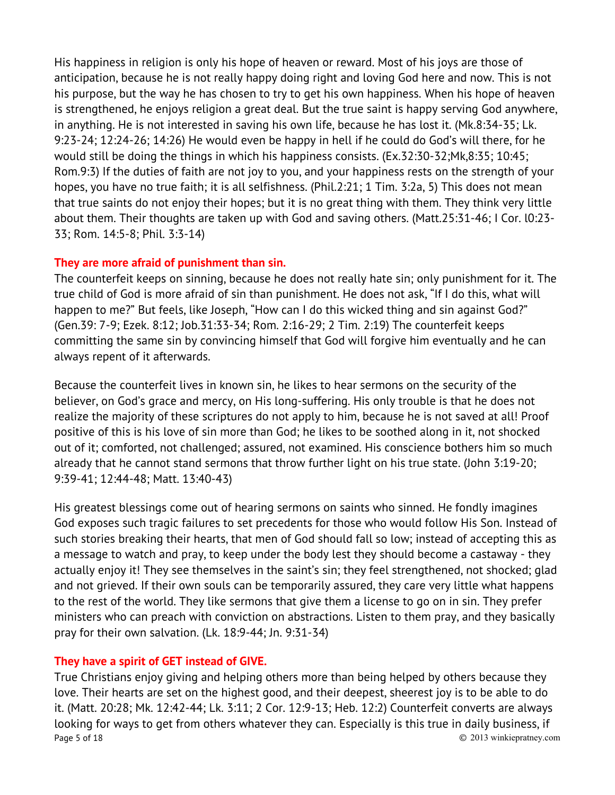His happiness in religion is only his hope of heaven or reward. Most of his joys are those of anticipation, because he is not really happy doing right and loving God here and now. This is not his purpose, but the way he has chosen to try to get his own happiness. When his hope of heaven is strengthened, he enjoys religion a great deal. But the true saint is happy serving God anywhere, in anything. He is not interested in saving his own life, because he has lost it. (Mk.8:34-35; Lk. 9:23-24; 12:24-26; 14:26) He would even be happy in hell if he could do God's will there, for he would still be doing the things in which his happiness consists. (Ex.32:30-32;Mk,8:35; 10:45; Rom.9:3) If the duties of faith are not joy to you, and your happiness rests on the strength of your hopes, you have no true faith; it is all selfishness. (Phil.2:21; 1 Tim. 3:2a, 5) This does not mean that true saints do not enjoy their hopes; but it is no great thing with them. They think very little about them. Their thoughts are taken up with God and saving others. (Matt.25:31-46; I Cor. l0:23- 33; Rom. 14:5-8; Phil. 3:3-14)

#### **They are more afraid of punishment than sin.**

The counterfeit keeps on sinning, because he does not really hate sin; only punishment for it. The true child of God is more afraid of sin than punishment. He does not ask, "If I do this, what will happen to me?" But feels, like Joseph, "How can I do this wicked thing and sin against God?" (Gen.39: 7-9; Ezek. 8:12; Job.31:33-34; Rom. 2:16-29; 2 Tim. 2:19) The counterfeit keeps committing the same sin by convincing himself that God will forgive him eventually and he can always repent of it afterwards.

Because the counterfeit lives in known sin, he likes to hear sermons on the security of the believer, on God's grace and mercy, on His long-suffering. His only trouble is that he does not realize the majority of these scriptures do not apply to him, because he is not saved at all! Proof positive of this is his love of sin more than God; he likes to be soothed along in it, not shocked out of it; comforted, not challenged; assured, not examined. His conscience bothers him so much already that he cannot stand sermons that throw further light on his true state. (John 3:19-20; 9:39-41; 12:44-48; Matt. 13:40-43)

His greatest blessings come out of hearing sermons on saints who sinned. He fondly imagines God exposes such tragic failures to set precedents for those who would follow His Son. Instead of such stories breaking their hearts, that men of God should fall so low; instead of accepting this as a message to watch and pray, to keep under the body lest they should become a castaway - they actually enjoy it! They see themselves in the saint's sin; they feel strengthened, not shocked; glad and not grieved. If their own souls can be temporarily assured, they care very little what happens to the rest of the world. They like sermons that give them a license to go on in sin. They prefer ministers who can preach with conviction on abstractions. Listen to them pray, and they basically pray for their own salvation. (Lk. 18:9-44; Jn. 9:31-34)

# **They have a spirit of GET instead of GIVE.**

Page 5 of 18 **Contract 2013** winkiepratney.com **COLL** True Christians enjoy giving and helping others more than being helped by others because they love. Their hearts are set on the highest good, and their deepest, sheerest joy is to be able to do it. (Matt. 20:28; Mk. 12:42-44; Lk. 3:11; 2 Cor. 12:9-13; Heb. 12:2) Counterfeit converts are always looking for ways to get from others whatever they can. Especially is this true in daily business, if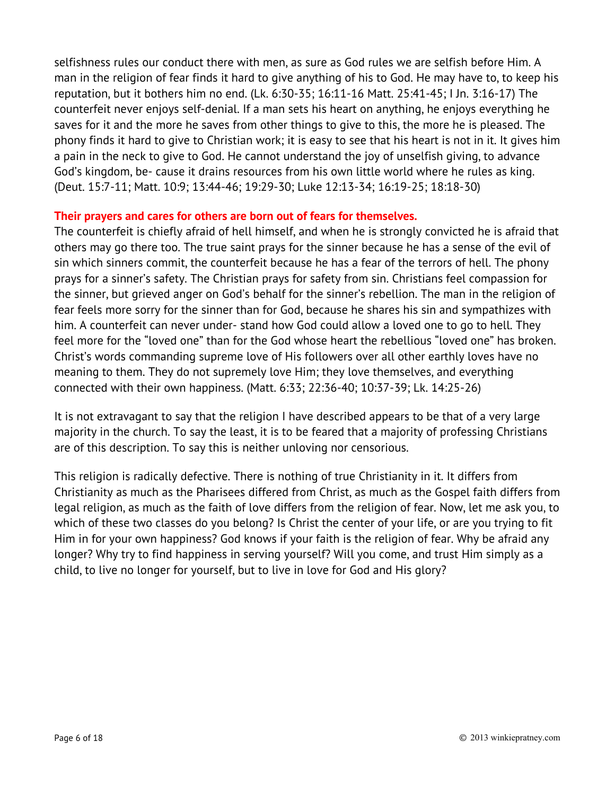selfishness rules our conduct there with men, as sure as God rules we are selfish before Him. A man in the religion of fear finds it hard to give anything of his to God. He may have to, to keep his reputation, but it bothers him no end. (Lk. 6:30-35; 16:11-16 Matt. 25:41-45; I Jn. 3:16-17) The counterfeit never enjoys self-denial. If a man sets his heart on anything, he enjoys everything he saves for it and the more he saves from other things to give to this, the more he is pleased. The phony finds it hard to give to Christian work; it is easy to see that his heart is not in it. It gives him a pain in the neck to give to God. He cannot understand the joy of unselfish giving, to advance God's kingdom, be- cause it drains resources from his own little world where he rules as king. (Deut. 15:7-11; Matt. 10:9; 13:44-46; 19:29-30; Luke 12:13-34; 16:19-25; 18:18-30)

#### **Their prayers and cares for others are born out of fears for themselves.**

The counterfeit is chiefly afraid of hell himself, and when he is strongly convicted he is afraid that others may go there too. The true saint prays for the sinner because he has a sense of the evil of sin which sinners commit, the counterfeit because he has a fear of the terrors of hell. The phony prays for a sinner's safety. The Christian prays for safety from sin. Christians feel compassion for the sinner, but grieved anger on God's behalf for the sinner's rebellion. The man in the religion of fear feels more sorry for the sinner than for God, because he shares his sin and sympathizes with him. A counterfeit can never under- stand how God could allow a loved one to go to hell. They feel more for the "loved one" than for the God whose heart the rebellious "loved one" has broken. Christ's words commanding supreme love of His followers over all other earthly loves have no meaning to them. They do not supremely love Him; they love themselves, and everything connected with their own happiness. (Matt. 6:33; 22:36-40; 10:37-39; Lk. 14:25-26)

It is not extravagant to say that the religion I have described appears to be that of a very large majority in the church. To say the least, it is to be feared that a majority of professing Christians are of this description. To say this is neither unloving nor censorious.

This religion is radically defective. There is nothing of true Christianity in it. It differs from Christianity as much as the Pharisees differed from Christ, as much as the Gospel faith differs from legal religion, as much as the faith of love differs from the religion of fear. Now, let me ask you, to which of these two classes do you belong? Is Christ the center of your life, or are you trying to fit Him in for your own happiness? God knows if your faith is the religion of fear. Why be afraid any longer? Why try to find happiness in serving yourself? Will you come, and trust Him simply as a child, to live no longer for yourself, but to live in love for God and His glory?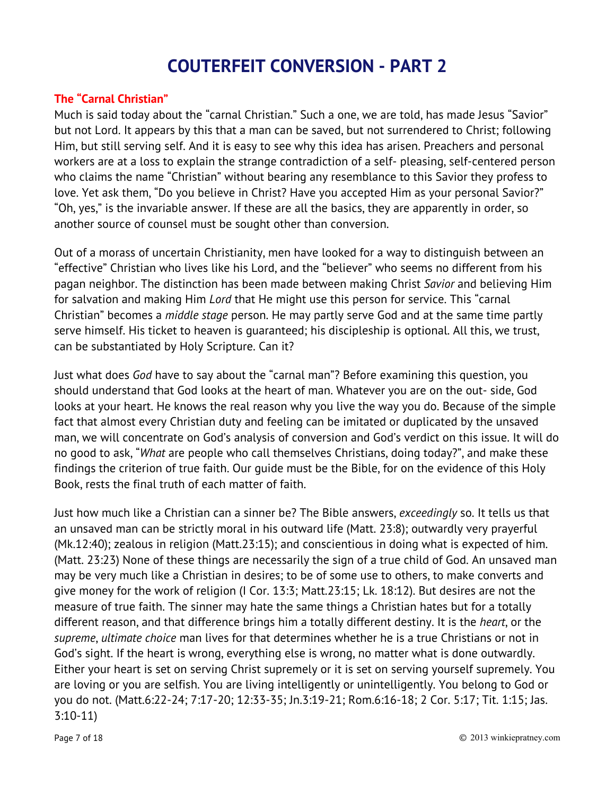# **COUTERFEIT CONVERSION - PART 2**

#### **The "Carnal Christian"**

Much is said today about the "carnal Christian." Such a one, we are told, has made Jesus "Savior" but not Lord. It appears by this that a man can be saved, but not surrendered to Christ; following Him, but still serving self. And it is easy to see why this idea has arisen. Preachers and personal workers are at a loss to explain the strange contradiction of a self- pleasing, self-centered person who claims the name "Christian" without bearing any resemblance to this Savior they profess to love. Yet ask them, "Do you believe in Christ? Have you accepted Him as your personal Savior?" "Oh, yes," is the invariable answer. If these are all the basics, they are apparently in order, so another source of counsel must be sought other than conversion.

Out of a morass of uncertain Christianity, men have looked for a way to distinguish between an "effective" Christian who lives like his Lord, and the "believer" who seems no different from his pagan neighbor. The distinction has been made between making Christ *Savior* and believing Him for salvation and making Him *Lord* that He might use this person for service. This "carnal Christian" becomes a *middle stage* person. He may partly serve God and at the same time partly serve himself. His ticket to heaven is guaranteed; his discipleship is optional. All this, we trust, can be substantiated by Holy Scripture. Can it?

Just what does *God* have to say about the "carnal man"? Before examining this question, you should understand that God looks at the heart of man. Whatever you are on the out- side, God looks at your heart. He knows the real reason why you live the way you do. Because of the simple fact that almost every Christian duty and feeling can be imitated or duplicated by the unsaved man, we will concentrate on God's analysis of conversion and God's verdict on this issue. It will do no good to ask, "*What* are people who call themselves Christians, doing today?", and make these findings the criterion of true faith. Our guide must be the Bible, for on the evidence of this Holy Book, rests the final truth of each matter of faith.

Just how much like a Christian can a sinner be? The Bible answers, *exceedingly* so. It tells us that an unsaved man can be strictly moral in his outward life (Matt. 23:8); outwardly very prayerful (Mk.12:40); zealous in religion (Matt.23:15); and conscientious in doing what is expected of him. (Matt. 23:23) None of these things are necessarily the sign of a true child of God. An unsaved man may be very much like a Christian in desires; to be of some use to others, to make converts and give money for the work of religion (I Cor. 13:3; Matt.23:15; Lk. 18:12). But desires are not the measure of true faith. The sinner may hate the same things a Christian hates but for a totally different reason, and that difference brings him a totally different destiny. It is the *heart*, or the *supreme*, *ultimate choice* man lives for that determines whether he is a true Christians or not in God's sight. If the heart is wrong, everything else is wrong, no matter what is done outwardly. Either your heart is set on serving Christ supremely or it is set on serving yourself supremely. You are loving or you are selfish. You are living intelligently or unintelligently. You belong to God or you do not. (Matt.6:22-24; 7:17-20; 12:33-35; Jn.3:19-21; Rom.6:16-18; 2 Cor. 5:17; Tit. 1:15; Jas. 3:10-11)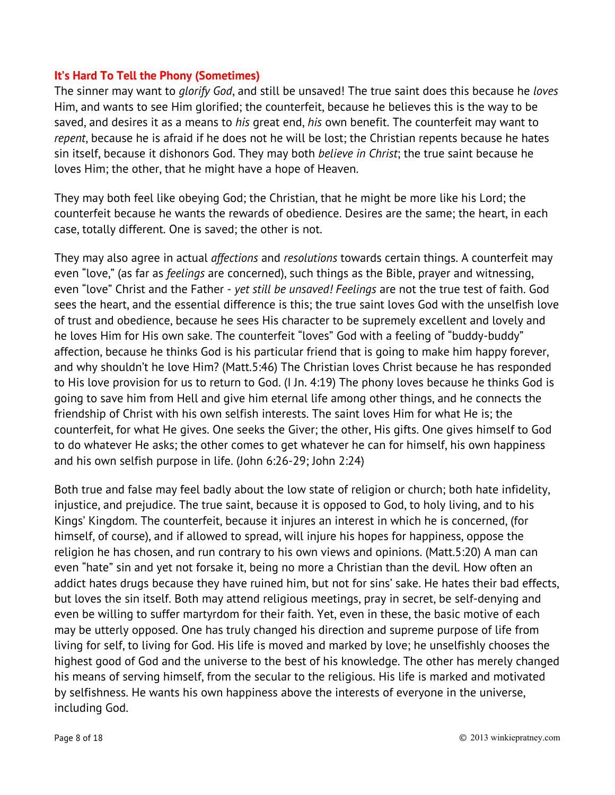#### **It's Hard To Tell the Phony (Sometimes)**

The sinner may want to *glorify God*, and still be unsaved! The true saint does this because he *loves* Him, and wants to see Him glorified; the counterfeit, because he believes this is the way to be saved, and desires it as a means to *his* great end, *his* own benefit. The counterfeit may want to *repent*, because he is afraid if he does not he will be lost; the Christian repents because he hates sin itself, because it dishonors God. They may both *believe in Christ*; the true saint because he loves Him; the other, that he might have a hope of Heaven.

They may both feel like obeying God; the Christian, that he might be more like his Lord; the counterfeit because he wants the rewards of obedience. Desires are the same; the heart, in each case, totally different. One is saved; the other is not.

They may also agree in actual *affections* and *resolutions* towards certain things. A counterfeit may even "love," (as far as *feelings* are concerned), such things as the Bible, prayer and witnessing, even "love" Christ and the Father - *yet still be unsaved! Feelings* are not the true test of faith. God sees the heart, and the essential difference is this; the true saint loves God with the unselfish love of trust and obedience, because he sees His character to be supremely excellent and lovely and he loves Him for His own sake. The counterfeit "loves" God with a feeling of "buddy-buddy" affection, because he thinks God is his particular friend that is going to make him happy forever, and why shouldn't he love Him? (Matt.5:46) The Christian loves Christ because he has responded to His love provision for us to return to God. (I Jn. 4:19) The phony loves because he thinks God is going to save him from Hell and give him eternal life among other things, and he connects the friendship of Christ with his own selfish interests. The saint loves Him for what He is; the counterfeit, for what He gives. One seeks the Giver; the other, His gifts. One gives himself to God to do whatever He asks; the other comes to get whatever he can for himself, his own happiness and his own selfish purpose in life. (John 6:26-29; John 2:24)

Both true and false may feel badly about the low state of religion or church; both hate infidelity, injustice, and prejudice. The true saint, because it is opposed to God, to holy living, and to his Kings' Kingdom. The counterfeit, because it injures an interest in which he is concerned, (for himself, of course), and if allowed to spread, will injure his hopes for happiness, oppose the religion he has chosen, and run contrary to his own views and opinions. (Matt.5:20) A man can even "hate" sin and yet not forsake it, being no more a Christian than the devil. How often an addict hates drugs because they have ruined him, but not for sins' sake. He hates their bad effects, but loves the sin itself. Both may attend religious meetings, pray in secret, be self-denying and even be willing to suffer martyrdom for their faith. Yet, even in these, the basic motive of each may be utterly opposed. One has truly changed his direction and supreme purpose of life from living for self, to living for God. His life is moved and marked by love; he unselfishly chooses the highest good of God and the universe to the best of his knowledge. The other has merely changed his means of serving himself, from the secular to the religious. His life is marked and motivated by selfishness. He wants his own happiness above the interests of everyone in the universe, including God.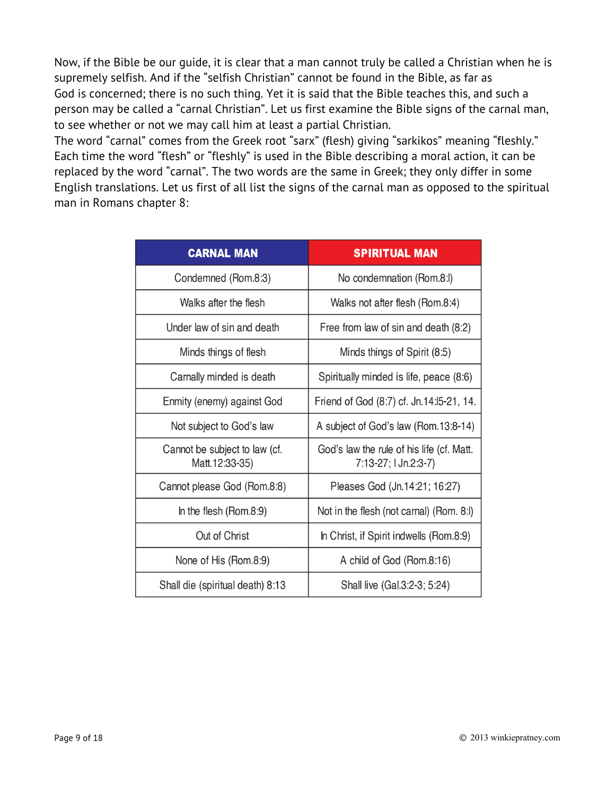Now, if the Bible be our guide, it is clear that a man cannot truly be called a Christian when he is supremely selfish. And if the "selfish Christian" cannot be found in the Bible, as far as God is concerned; there is no such thing. Yet it is said that the Bible teaches this, and such a person may be called a "carnal Christian". Let us first examine the Bible signs of the carnal man, to see whether or not we may call him at least a partial Christian.

The word "carnal" comes from the Greek root "sarx" (flesh) giving "sarkikos" meaning "fleshly." Each time the word "flesh" or "fleshly" is used in the Bible describing a moral action, it can be replaced by the word "carnal". The two words are the same in Greek; they only differ in some English translations. Let us first of all list the signs of the carnal man as opposed to the spiritual man in Romans chapter 8:

| <b>CARNAL MAN</b>                               | <b>SPIRITUAL MAN</b>                                              |
|-------------------------------------------------|-------------------------------------------------------------------|
| Condemned (Rom.8:3)                             | No condemnation (Rom.8:I)                                         |
| Walks after the flesh                           | Walks not after flesh (Rom.8:4)                                   |
| Under law of sin and death                      | Free from law of sin and death (8:2)                              |
| Minds things of flesh                           | Minds things of Spirit (8:5)                                      |
| Carnally minded is death                        | Spiritually minded is life, peace (8:6)                           |
| Enmity (enemy) against God                      | Friend of God (8:7) cf. Jn.14:15-21, 14.                          |
| Not subject to God's law                        | A subject of God's law (Rom.13:8-14)                              |
| Cannot be subject to law (cf.<br>Matt.12:33-35) | God's law the rule of his life (cf. Matt.<br>7:13-27; I Jn.2:3-7) |
| Cannot please God (Rom.8:8)                     | Pleases God (Jn.14:21; 16:27)                                     |
| In the flesh (Rom.8:9)                          | Not in the flesh (not carnal) (Rom. 8:l)                          |
| Out of Christ                                   | In Christ, if Spirit indwells (Rom.8:9)                           |
| None of His (Rom.8:9)                           | A child of God (Rom.8:16)                                         |
| Shall die (spiritual death) 8:13                | Shall live (Gal.3:2-3; 5:24)                                      |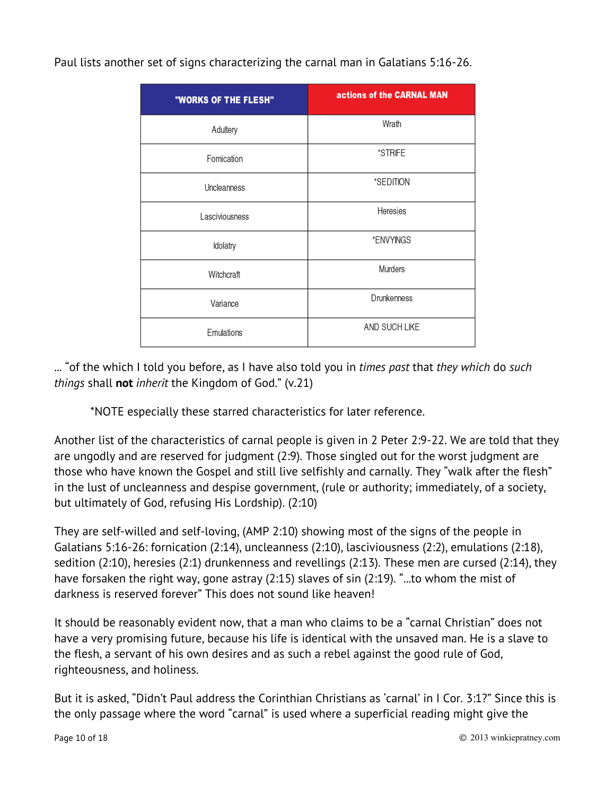Paul lists another set of signs characterizing the carnal man in Galatians 5:16-26.

| "WORKS OF THE FLESH" | actions of the CARNAL MAN |
|----------------------|---------------------------|
| Adultery             | Wrath                     |
| Fornication          | *STRIFE                   |
| Uncleanness          | *SEDITION                 |
| Lasciviousness       | Heresies                  |
| Idolatry             | *ENVYINGS                 |
| Witchcraft           | <b>Murders</b>            |
| Variance             | <b>Drunkenness</b>        |
| <b>Emulations</b>    | AND SUCH LIKE             |

... "of the which I told you before, as I have also told you in *times past* that *they which* do *such things* shall **not** *inherit* the Kingdom of God." (v.21)

\*NOTE especially these starred characteristics for later reference.

Another list of the characteristics of carnal people is given in 2 Peter 2:9-22. We are told that they are ungodly and are reserved for judgment (2:9). Those singled out for the worst judgment are those who have known the Gospel and still live selfishly and carnally. They "walk after the flesh" in the lust of uncleanness and despise government, (rule or authority; immediately, of a society, but ultimately of God, refusing His Lordship). (2:10)

They are self-willed and self-loving, (AMP 2:10) showing most of the signs of the people in Galatians 5:16-26: fornication (2:14), uncleanness (2:10), lasciviousness (2:2), emulations (2:18), sedition (2:10), heresies (2:1) drunkenness and revellings (2:13). These men are cursed (2:14), they have forsaken the right way, gone astray (2:15) slaves of sin (2:19). "...to whom the mist of darkness is reserved forever" This does not sound like heaven!

It should be reasonably evident now, that a man who claims to be a "carnal Christian" does not have a very promising future, because his life is identical with the unsaved man. He is a slave to the flesh, a servant of his own desires and as such a rebel against the good rule of God, righteousness, and holiness.

But it is asked, "Didn't Paul address the Corinthian Christians as 'carnal' in I Cor. 3:1?" Since this is the only passage where the word "carnal" is used where a superficial reading might give the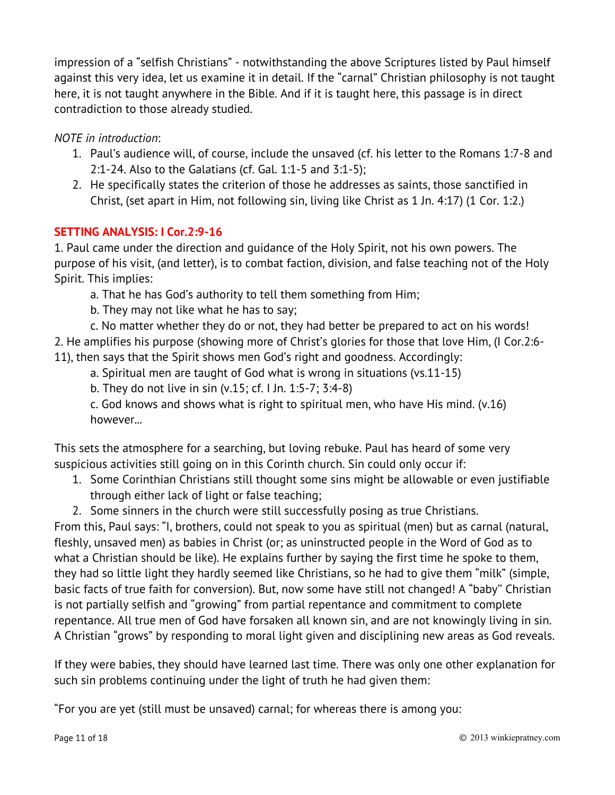impression of a "selfish Christians" - notwithstanding the above Scriptures listed by Paul himself against this very idea, let us examine it in detail. If the "carnal" Christian philosophy is not taught here, it is not taught anywhere in the Bible. And if it is taught here, this passage is in direct contradiction to those already studied.

## *NOTE in introduction*:

- 1. Paul's audience will, of course, include the unsaved (cf. his letter to the Romans 1:7-8 and 2:1-24. Also to the Galatians (cf. Gal. 1:1-5 and 3:1-5);
- 2. He specifically states the criterion of those he addresses as saints, those sanctified in Christ, (set apart in Him, not following sin, living like Christ as 1 Jn. 4:17) (1 Cor. 1:2.)

#### **SETTING ANALYSIS: I Cor.2:9-16**

1. Paul came under the direction and guidance of the Holy Spirit, not his own powers. The purpose of his visit, (and letter), is to combat faction, division, and false teaching not of the Holy Spirit. This implies:

a. That he has God's authority to tell them something from Him;

b. They may not like what he has to say;

c. No matter whether they do or not, they had better be prepared to act on his words! 2. He amplifies his purpose (showing more of Christ's glories for those that love Him, (I Cor.2:6- 11), then says that the Spirit shows men God's right and goodness. Accordingly:

- a. Spiritual men are taught of God what is wrong in situations (vs.11-15)
- b. They do not live in sin (v.15; cf. I Jn. 1:5-7; 3:4-8)

c. God knows and shows what is right to spiritual men, who have His mind. (v.16) however...

This sets the atmosphere for a searching, but loving rebuke. Paul has heard of some very suspicious activities still going on in this Corinth church. Sin could only occur if:

- 1. Some Corinthian Christians still thought some sins might be allowable or even justifiable through either lack of light or false teaching;
- 2. Some sinners in the church were still successfully posing as true Christians.

From this, Paul says: "I, brothers, could not speak to you as spiritual (men) but as carnal (natural, fleshly, unsaved men) as babies in Christ (or; as uninstructed people in the Word of God as to what a Christian should be like). He explains further by saying the first time he spoke to them, they had so little light they hardly seemed like Christians, so he had to give them "milk" (simple, basic facts of true faith for conversion). But, now some have still not changed! A "baby'' Christian is not partially selfish and "growing" from partial repentance and commitment to complete repentance. All true men of God have forsaken all known sin, and are not knowingly living in sin. A Christian "grows" by responding to moral light given and disciplining new areas as God reveals.

If they were babies, they should have learned last time. There was only one other explanation for such sin problems continuing under the light of truth he had given them:

"For you are yet (still must be unsaved) carnal; for whereas there is among you: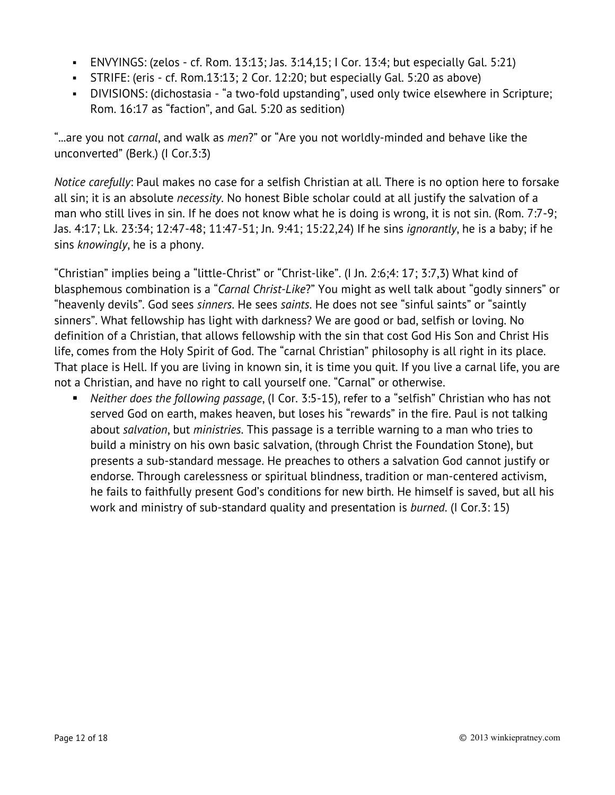- $\blacksquare$  ENVYINGS: (zelos cf. Rom. 13:13; Jas. 3:14.15; I Cor. 13:4; but especially Gal. 5:21)
- STRIFE: (eris cf. Rom.13:13; 2 Cor. 12:20; but especially Gal. 5:20 as above)
- DIVISIONS: (dichostasia "a two-fold upstanding", used only twice elsewhere in Scripture; Rom. 16:17 as "faction", and Gal. 5:20 as sedition)

"...are you not *carnal*, and walk as *men*?" or "Are you not worldly-minded and behave like the unconverted" (Berk.) (I Cor.3:3)

*Notice carefully*: Paul makes no case for a selfish Christian at all. There is no option here to forsake all sin; it is an absolute *necessity*. No honest Bible scholar could at all justify the salvation of a man who still lives in sin. If he does not know what he is doing is wrong, it is not sin. (Rom. 7:7-9; Jas. 4:17; Lk. 23:34; 12:47-48; 11:47-51; Jn. 9:41; 15:22,24) If he sins *ignorantly*, he is a baby; if he sins *knowingly*, he is a phony.

"Christian" implies being a "little-Christ" or "Christ-like". (I Jn. 2:6;4: 17; 3:7,3) What kind of blasphemous combination is a "*Carnal Christ-Like*?" You might as well talk about "godly sinners" or "heavenly devils". God sees *sinners*. He sees *saints*. He does not see "sinful saints" or "saintly sinners". What fellowship has light with darkness? We are good or bad, selfish or loving. No definition of a Christian, that allows fellowship with the sin that cost God His Son and Christ His life, comes from the Holy Spirit of God. The "carnal Christian" philosophy is all right in its place. That place is Hell. If you are living in known sin, it is time you quit. If you live a carnal life, you are not a Christian, and have no right to call yourself one. "Carnal" or otherwise.

 *Neither does the following passage*, (I Cor. 3:5-15), refer to a "selfish" Christian who has not served God on earth, makes heaven, but loses his "rewards" in the fire. Paul is not talking about *salvation*, but *ministries*. This passage is a terrible warning to a man who tries to build a ministry on his own basic salvation, (through Christ the Foundation Stone), but presents a sub-standard message. He preaches to others a salvation God cannot justify or endorse. Through carelessness or spiritual blindness, tradition or man-centered activism, he fails to faithfully present God's conditions for new birth. He himself is saved, but all his work and ministry of sub-standard quality and presentation is *burned*. (I Cor.3: 15)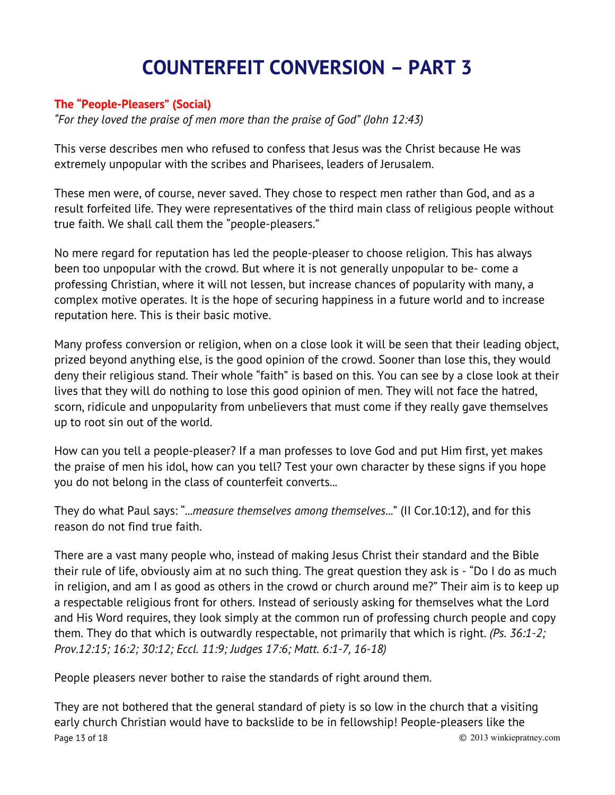# **COUNTERFEIT CONVERSION – PART 3**

## **The "People-Pleasers" (Social)**

*"For they loved the praise of men more than the praise of God" (John 12:43)*

This verse describes men who refused to confess that Jesus was the Christ because He was extremely unpopular with the scribes and Pharisees, leaders of Jerusalem.

These men were, of course, never saved. They chose to respect men rather than God, and as a result forfeited life. They were representatives of the third main class of religious people without true faith. We shall call them the "people-pleasers."

No mere regard for reputation has led the people-pleaser to choose religion. This has always been too unpopular with the crowd. But where it is not generally unpopular to be- come a professing Christian, where it will not lessen, but increase chances of popularity with many, a complex motive operates. It is the hope of securing happiness in a future world and to increase reputation here. This is their basic motive.

Many profess conversion or religion, when on a close look it will be seen that their leading object, prized beyond anything else, is the good opinion of the crowd. Sooner than lose this, they would deny their religious stand. Their whole "faith" is based on this. You can see by a close look at their lives that they will do nothing to lose this good opinion of men. They will not face the hatred, scorn, ridicule and unpopularity from unbelievers that must come if they really gave themselves up to root sin out of the world.

How can you tell a people-pleaser? If a man professes to love God and put Him first, yet makes the praise of men his idol, how can you tell? Test your own character by these signs if you hope you do not belong in the class of counterfeit converts...

They do what Paul says: "...*measure themselves among themselves*..." (II Cor.10:12), and for this reason do not find true faith.

There are a vast many people who, instead of making Jesus Christ their standard and the Bible their rule of life, obviously aim at no such thing. The great question they ask is - "Do I do as much in religion, and am I as good as others in the crowd or church around me?" Their aim is to keep up a respectable religious front for others. Instead of seriously asking for themselves what the Lord and His Word requires, they look simply at the common run of professing church people and copy them. They do that which is outwardly respectable, not primarily that which is right. *(Ps. 36:1-2; Prov.12:15; 16:2; 30:12; Eccl. 11:9; Judges 17:6; Matt. 6:1-7, 16-18)* 

People pleasers never bother to raise the standards of right around them.

Page 13 of 18 © 2013 winkiepratney.com They are not bothered that the general standard of piety is so low in the church that a visiting early church Christian would have to backslide to be in fellowship! People-pleasers like the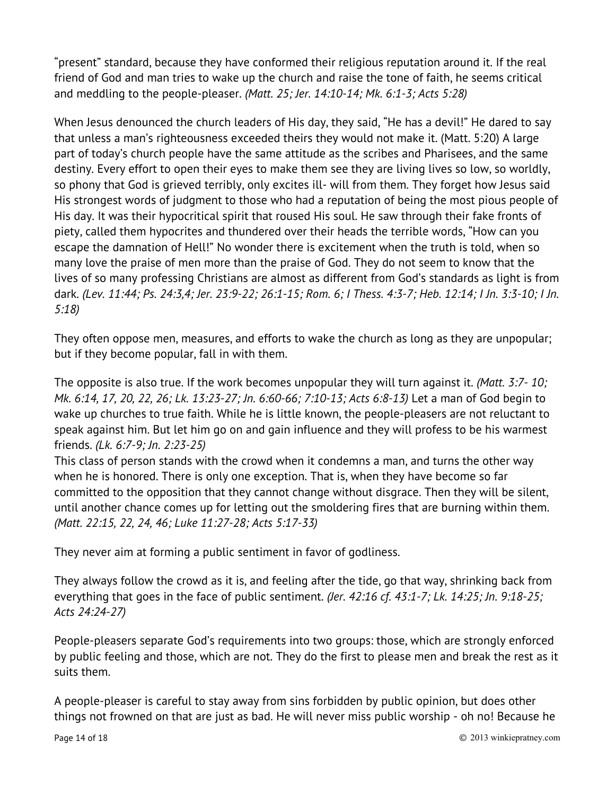"present" standard, because they have conformed their religious reputation around it. If the real friend of God and man tries to wake up the church and raise the tone of faith, he seems critical and meddling to the people-pleaser. *(Matt. 25; Jer. 14:10-14; Mk. 6:1-3; Acts 5:28)*

When Jesus denounced the church leaders of His day, they said, "He has a devil!" He dared to say that unless a man's righteousness exceeded theirs they would not make it. (Matt. 5:20) A large part of today's church people have the same attitude as the scribes and Pharisees, and the same destiny. Every effort to open their eyes to make them see they are living lives so low, so worldly, so phony that God is grieved terribly, only excites ill- will from them. They forget how Jesus said His strongest words of judgment to those who had a reputation of being the most pious people of His day. It was their hypocritical spirit that roused His soul. He saw through their fake fronts of piety, called them hypocrites and thundered over their heads the terrible words, "How can you escape the damnation of Hell!" No wonder there is excitement when the truth is told, when so many love the praise of men more than the praise of God. They do not seem to know that the lives of so many professing Christians are almost as different from God's standards as light is from dark. *(Lev. 11:44; Ps. 24:3,4; Jer. 23:9-22; 26:1-15; Rom. 6; I Thess. 4:3-7; Heb. 12:14; I Jn. 3:3-10; I Jn. 5:18)*

They often oppose men, measures, and efforts to wake the church as long as they are unpopular; but if they become popular, fall in with them.

The opposite is also true. If the work becomes unpopular they will turn against it. *(Matt. 3:7- 10; Mk. 6:14, 17, 20, 22, 26; Lk. 13:23-27; Jn. 6:60-66; 7:10-13; Acts 6:8-13)* Let a man of God begin to wake up churches to true faith. While he is little known, the people-pleasers are not reluctant to speak against him. But let him go on and gain influence and they will profess to be his warmest friends. *(Lk. 6:7-9; Jn. 2:23-25)*

This class of person stands with the crowd when it condemns a man, and turns the other way when he is honored. There is only one exception. That is, when they have become so far committed to the opposition that they cannot change without disgrace. Then they will be silent, until another chance comes up for letting out the smoldering fires that are burning within them. *(Matt. 22:15, 22, 24, 46; Luke 11:27-28; Acts 5:17-33)*

They never aim at forming a public sentiment in favor of godliness.

They always follow the crowd as it is, and feeling after the tide, go that way, shrinking back from everything that goes in the face of public sentiment. *(Jer. 42:16 cf. 43:1-7; Lk. 14:25; Jn. 9:18-25; Acts 24:24-27)*

People-pleasers separate God's requirements into two groups: those, which are strongly enforced by public feeling and those, which are not. They do the first to please men and break the rest as it suits them.

A people-pleaser is careful to stay away from sins forbidden by public opinion, but does other things not frowned on that are just as bad. He will never miss public worship - oh no! Because he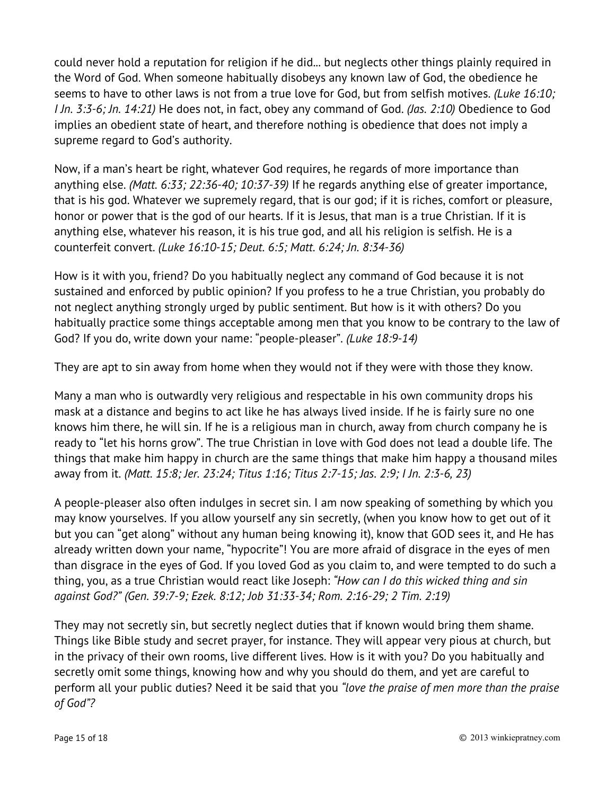could never hold a reputation for religion if he did... but neglects other things plainly required in the Word of God. When someone habitually disobeys any known law of God, the obedience he seems to have to other laws is not from a true love for God, but from selfish motives. *(Luke 16:10; I Jn. 3:3-6; Jn. 14:21)* He does not, in fact, obey any command of God. *(Jas. 2:10)* Obedience to God implies an obedient state of heart, and therefore nothing is obedience that does not imply a supreme regard to God's authority.

Now, if a man's heart be right, whatever God requires, he regards of more importance than anything else. *(Matt. 6:33; 22:36-40; 10:37-39)* If he regards anything else of greater importance, that is his god. Whatever we supremely regard, that is our god; if it is riches, comfort or pleasure, honor or power that is the god of our hearts. If it is Jesus, that man is a true Christian. If it is anything else, whatever his reason, it is his true god, and all his religion is selfish. He is a counterfeit convert. *(Luke 16:10-15; Deut. 6:5; Matt. 6:24; Jn. 8:34-36)*

How is it with you, friend? Do you habitually neglect any command of God because it is not sustained and enforced by public opinion? If you profess to he a true Christian, you probably do not neglect anything strongly urged by public sentiment. But how is it with others? Do you habitually practice some things acceptable among men that you know to be contrary to the law of God? If you do, write down your name: "people-pleaser". *(Luke 18:9-14)*

They are apt to sin away from home when they would not if they were with those they know.

Many a man who is outwardly very religious and respectable in his own community drops his mask at a distance and begins to act like he has always lived inside. If he is fairly sure no one knows him there, he will sin. If he is a religious man in church, away from church company he is ready to "let his horns grow". The true Christian in love with God does not lead a double life. The things that make him happy in church are the same things that make him happy a thousand miles away from it. *(Matt. 15:8; Jer. 23:24; Titus 1:16; Titus 2:7-15; Jas. 2:9; I Jn. 2:3-6, 23)*

A people-pleaser also often indulges in secret sin. I am now speaking of something by which you may know yourselves. If you allow yourself any sin secretly, (when you know how to get out of it but you can "get along" without any human being knowing it), know that GOD sees it, and He has already written down your name, "hypocrite"! You are more afraid of disgrace in the eyes of men than disgrace in the eyes of God. If you loved God as you claim to, and were tempted to do such a thing, you, as a true Christian would react like Joseph: *"How can I do this wicked thing and sin against God?" (Gen. 39:7-9; Ezek. 8:12; Job 31:33-34; Rom. 2:16-29; 2 Tim. 2:19)* 

They may not secretly sin, but secretly neglect duties that if known would bring them shame. Things like Bible study and secret prayer, for instance. They will appear very pious at church, but in the privacy of their own rooms, live different lives. How is it with you? Do you habitually and secretly omit some things, knowing how and why you should do them, and yet are careful to perform all your public duties? Need it be said that you *"love the praise of men more than the praise of God"?*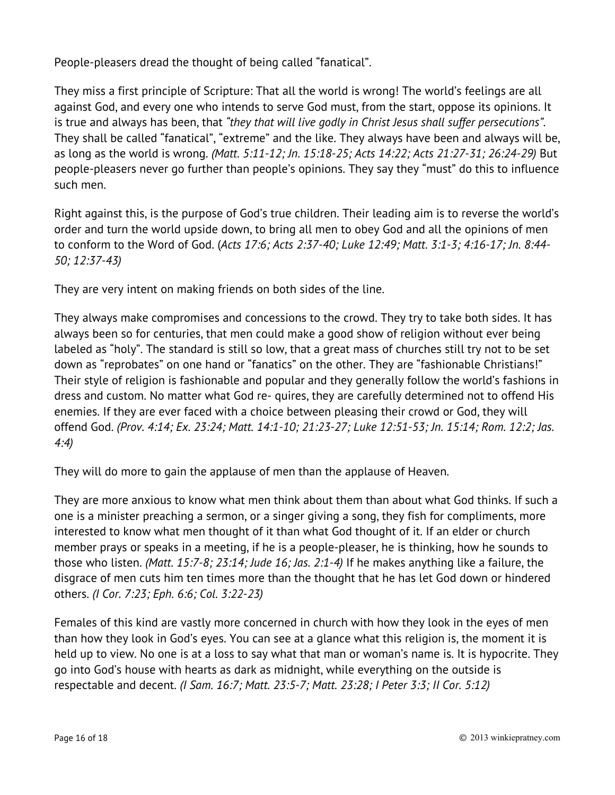People-pleasers dread the thought of being called "fanatical".

They miss a first principle of Scripture: That all the world is wrong! The world's feelings are all against God, and every one who intends to serve God must, from the start, oppose its opinions. It is true and always has been, that *"they that will live godly in Christ Jesus shall suffer persecutions".* They shall be called "fanatical", "extreme" and the like. They always have been and always will be, as long as the world is wrong. *(Matt. 5:11-12; Jn. 15:18-25; Acts 14:22; Acts 21:27-31; 26:24-29)* But people-pleasers never go further than people's opinions. They say they "must" do this to influence such men.

Right against this, is the purpose of God's true children. Their leading aim is to reverse the world's order and turn the world upside down, to bring all men to obey God and all the opinions of men to conform to the Word of God. (*Acts 17:6; Acts 2:37-40; Luke 12:49; Matt. 3:1-3; 4:16-17; Jn. 8:44- 50; 12:37-43)* 

They are very intent on making friends on both sides of the line.

They always make compromises and concessions to the crowd. They try to take both sides. It has always been so for centuries, that men could make a good show of religion without ever being labeled as "holy". The standard is still so low, that a great mass of churches still try not to be set down as "reprobates" on one hand or "fanatics" on the other. They are "fashionable Christians!" Their style of religion is fashionable and popular and they generally follow the world's fashions in dress and custom. No matter what God re- quires, they are carefully determined not to offend His enemies. If they are ever faced with a choice between pleasing their crowd or God, they will offend God. *(Prov. 4:14; Ex. 23:24; Matt. 14:1-10; 21:23-27; Luke 12:51-53; Jn. 15:14; Rom. 12:2; Jas. 4:4)* 

They will do more to gain the applause of men than the applause of Heaven.

They are more anxious to know what men think about them than about what God thinks. If such a one is a minister preaching a sermon, or a singer giving a song, they fish for compliments, more interested to know what men thought of it than what God thought of it. If an elder or church member prays or speaks in a meeting, if he is a people-pleaser, he is thinking, how he sounds to those who listen. *(Matt. 15:7-8; 23:14; Jude 16; Jas. 2:1-4)* If he makes anything like a failure, the disgrace of men cuts him ten times more than the thought that he has let God down or hindered others. *(I Cor. 7:23; Eph. 6:6; Col. 3:22-23)*

Females of this kind are vastly more concerned in church with how they look in the eyes of men than how they look in God's eyes. You can see at a glance what this religion is, the moment it is held up to view. No one is at a loss to say what that man or woman's name is. It is hypocrite. They go into God's house with hearts as dark as midnight, while everything on the outside is respectable and decent. *(I Sam. 16:7; Matt. 23:5-7; Matt. 23:28; I Peter 3:3; II Cor. 5:12)*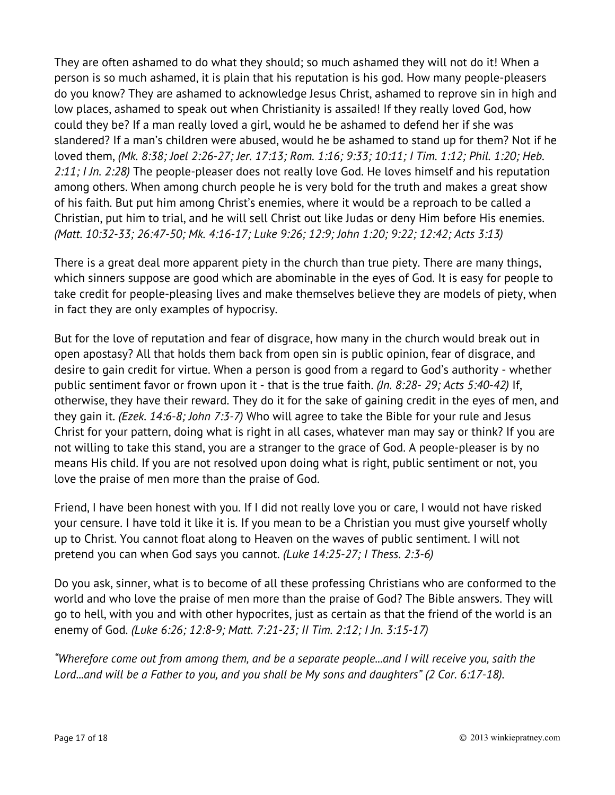They are often ashamed to do what they should; so much ashamed they will not do it! When a person is so much ashamed, it is plain that his reputation is his god. How many people-pleasers do you know? They are ashamed to acknowledge Jesus Christ, ashamed to reprove sin in high and low places, ashamed to speak out when Christianity is assailed! If they really loved God, how could they be? If a man really loved a girl, would he be ashamed to defend her if she was slandered? If a man's children were abused, would he be ashamed to stand up for them? Not if he loved them, *(Mk. 8:38; Joel 2:26-27; Jer. 17:13; Rom. 1:16; 9:33; 10:11; I Tim. 1:12; Phil. 1:20; Heb. 2:11; I Jn. 2:28)* The people-pleaser does not really love God. He loves himself and his reputation among others. When among church people he is very bold for the truth and makes a great show of his faith. But put him among Christ's enemies, where it would be a reproach to be called a Christian, put him to trial, and he will sell Christ out like Judas or deny Him before His enemies. *(Matt. 10:32-33; 26:47-50; Mk. 4:16-17; Luke 9:26; 12:9; John 1:20; 9:22; 12:42; Acts 3:13)*

There is a great deal more apparent piety in the church than true piety. There are many things, which sinners suppose are good which are abominable in the eyes of God. It is easy for people to take credit for people-pleasing lives and make themselves believe they are models of piety, when in fact they are only examples of hypocrisy.

But for the love of reputation and fear of disgrace, how many in the church would break out in open apostasy? All that holds them back from open sin is public opinion, fear of disgrace, and desire to gain credit for virtue. When a person is good from a regard to God's authority - whether public sentiment favor or frown upon it - that is the true faith. *(Jn. 8:28- 29; Acts 5:40-42)* If, otherwise, they have their reward. They do it for the sake of gaining credit in the eyes of men, and they gain it. *(Ezek. 14:6-8; John 7:3-7)* Who will agree to take the Bible for your rule and Jesus Christ for your pattern, doing what is right in all cases, whatever man may say or think? If you are not willing to take this stand, you are a stranger to the grace of God. A people-pleaser is by no means His child. If you are not resolved upon doing what is right, public sentiment or not, you love the praise of men more than the praise of God.

Friend, I have been honest with you. If I did not really love you or care, I would not have risked your censure. I have told it like it is. If you mean to be a Christian you must give yourself wholly up to Christ. You cannot float along to Heaven on the waves of public sentiment. I will not pretend you can when God says you cannot. *(Luke 14:25-27; I Thess. 2:3-6)*

Do you ask, sinner, what is to become of all these professing Christians who are conformed to the world and who love the praise of men more than the praise of God? The Bible answers. They will go to hell, with you and with other hypocrites, just as certain as that the friend of the world is an enemy of God. *(Luke 6:26; 12:8-9; Matt. 7:21-23; II Tim. 2:12; I Jn. 3:15-17)*

*"Wherefore come out from among them, and be a separate people...and I will receive you, saith the Lord...and will be a Father to you, and you shall be My sons and daughters" (2 Cor. 6:17-18).*